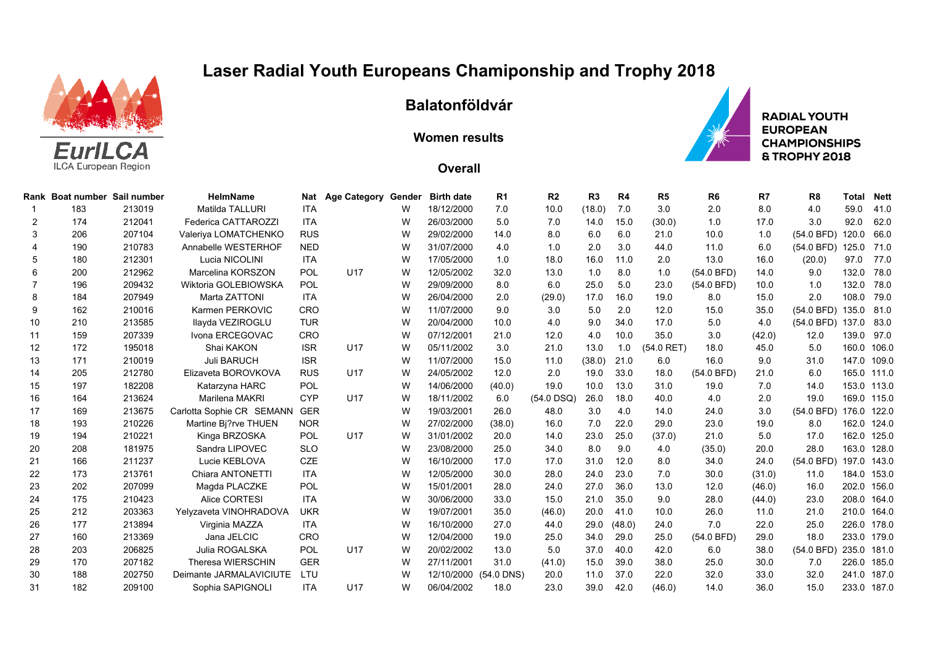## **Laser Radial Youth Europeans Chamiponship and Trophy 2018**



## **Balatonföldvár**

**Women results**



**RADIAL YOUTH EUROPEAN CHAMPIONSHIPS** & TROPHY 2018

## **Overall**

|     |                   | <b>HelmName</b>                                                                                         | <b>Nat</b>                                                                                                                                |                                        |                                                    | <b>Birth date</b>             | R <sub>1</sub>                         | R <sub>2</sub>                                     | R <sub>3</sub>       | R4           | R <sub>5</sub>                 | R <sub>6</sub>       | R7                                        | R <sub>8</sub>                       | Total                        | <b>Nett</b>                                                                                                                                                                                                                                         |
|-----|-------------------|---------------------------------------------------------------------------------------------------------|-------------------------------------------------------------------------------------------------------------------------------------------|----------------------------------------|----------------------------------------------------|-------------------------------|----------------------------------------|----------------------------------------------------|----------------------|--------------|--------------------------------|----------------------|-------------------------------------------|--------------------------------------|------------------------------|-----------------------------------------------------------------------------------------------------------------------------------------------------------------------------------------------------------------------------------------------------|
| 183 | 213019            | Matilda TALLURI                                                                                         | <b>ITA</b>                                                                                                                                |                                        | W                                                  | 18/12/2000                    | 7.0                                    | 10.0                                               | (18.0)               | 7.0          | 3.0                            | 2.0                  | 8.0                                       | 4.0                                  | 59.0                         | 41.0                                                                                                                                                                                                                                                |
| 174 | 212041            | Federica CATTAROZZI                                                                                     | <b>ITA</b>                                                                                                                                |                                        | W                                                  | 26/03/2000                    | 5.0                                    | 7.0                                                | 14.0                 | 15.0         | (30.0)                         | 1.0                  | 17.0                                      | 3.0                                  | 92.0                         | 62.0                                                                                                                                                                                                                                                |
| 206 | 207104            | Valeriya LOMATCHENKO                                                                                    | <b>RUS</b>                                                                                                                                |                                        | W                                                  | 29/02/2000                    | 14.0                                   | 8.0                                                | 6.0                  | 6.0          | 21.0                           | 10.0                 | 1.0                                       | $(54.0$ BFD)                         |                              | 66.0                                                                                                                                                                                                                                                |
| 190 | 210783            | Annabelle WESTERHOF                                                                                     | <b>NED</b>                                                                                                                                |                                        | w                                                  | 31/07/2000                    | 4.0                                    | 1.0                                                | 2.0                  | 3.0          | 44.0                           | 11.0                 | 6.0                                       | (54.0 BFD)                           |                              | 71.0                                                                                                                                                                                                                                                |
| 180 | 212301            | Lucia NICOLINI                                                                                          | <b>ITA</b>                                                                                                                                |                                        | W                                                  | 17/05/2000                    | 1.0                                    | 18.0                                               | 16.0                 | 11.0         | 2.0                            | 13.0                 | 16.0                                      | (20.0)                               | 97.0                         | 77.0                                                                                                                                                                                                                                                |
| 200 | 212962            | Marcelina KORSZON                                                                                       | POL                                                                                                                                       | U17                                    | W                                                  | 12/05/2002                    | 32.0                                   | 13.0                                               | 1.0                  | 8.0          | 1.0                            | (54.0 BFD)           | 14.0                                      | 9.0                                  | 132.0                        | 78.0                                                                                                                                                                                                                                                |
| 196 | 209432            | Wiktoria GOLEBIOWSKA                                                                                    | POL                                                                                                                                       |                                        | W                                                  | 29/09/2000                    | 8.0                                    | 6.0                                                | 25.0                 | 5.0          | 23.0                           | (54.0 BFD)           | 10.0                                      | 1.0                                  |                              | 78.0                                                                                                                                                                                                                                                |
| 184 | 207949            | Marta ZATTONI                                                                                           | <b>ITA</b>                                                                                                                                |                                        | W                                                  | 26/04/2000                    | 2.0                                    | (29.0)                                             | 17.0                 | 16.0         | 19.0                           | 8.0                  | 15.0                                      | 2.0                                  |                              | 79.0                                                                                                                                                                                                                                                |
| 162 | 210016            | Karmen PERKOVIC                                                                                         | <b>CRO</b>                                                                                                                                |                                        | W                                                  | 11/07/2000                    | 9.0                                    | 3.0                                                | 5.0                  | 2.0          | 12.0                           | 15.0                 | 35.0                                      | $(54.0$ BFD)                         |                              |                                                                                                                                                                                                                                                     |
| 210 | 213585            | Ilayda VEZIROGLU                                                                                        | <b>TUR</b>                                                                                                                                |                                        | W                                                  | 20/04/2000                    | 10.0                                   | 4.0                                                | 9.0                  | 34.0         | 17.0                           | 5.0                  | 4.0                                       | (54.0 BFD)                           |                              |                                                                                                                                                                                                                                                     |
| 159 | 207339            | Ivona ERCEGOVAC                                                                                         | <b>CRO</b>                                                                                                                                |                                        | W                                                  | 07/12/2001                    | 21.0                                   | 12.0                                               | 4.0                  | 10.0         | 35.0                           | 3.0                  | (42.0)                                    | 12.0                                 |                              | 97.0                                                                                                                                                                                                                                                |
| 172 | 195018            | Shai KAKON                                                                                              | <b>ISR</b>                                                                                                                                | U <sub>17</sub>                        | W                                                  | 05/11/2002                    | 3.0                                    | 21.0                                               | 13.0                 | 1.0          | $(54.0$ RET)                   | 18.0                 | 45.0                                      | 5.0                                  |                              | 106.0                                                                                                                                                                                                                                               |
| 171 | 210019            | <b>Juli BARUCH</b>                                                                                      | <b>ISR</b>                                                                                                                                |                                        | W                                                  | 11/07/2000                    | 15.0                                   | 11.0                                               | (38.0)               | 21.0         | 6.0                            | 16.0                 | 9.0                                       | 31.0                                 |                              | 147.0 109.0                                                                                                                                                                                                                                         |
| 205 | 212780            | Elizaveta BOROVKOVA                                                                                     | <b>RUS</b>                                                                                                                                | U <sub>17</sub>                        | W                                                  | 24/05/2002                    | 12.0                                   | 2.0                                                | 19.0                 | 33.0         | 18.0                           | (54.0 BFD)           | 21.0                                      | 6.0                                  |                              | 111.0                                                                                                                                                                                                                                               |
| 197 | 182208            | Katarzyna HARC                                                                                          | POL                                                                                                                                       |                                        | w                                                  | 14/06/2000                    | (40.0)                                 | 19.0                                               | 10.0                 | 13.0         | 31.0                           | 19.0                 | 7.0                                       | 14.0                                 |                              | 113.0                                                                                                                                                                                                                                               |
| 164 | 213624            | Marilena MAKRI                                                                                          | <b>CYP</b>                                                                                                                                | U17                                    | W                                                  | 18/11/2002                    | 6.0                                    | (54.0 DSQ)                                         | 26.0                 | 18.0         | 40.0                           | 4.0                  | 2.0                                       | 19.0                                 |                              | 169.0 115.0                                                                                                                                                                                                                                         |
| 169 | 213675            | Carlotta Sophie CR SEMANN                                                                               |                                                                                                                                           |                                        | w                                                  | 19/03/2001                    | 26.0                                   | 48.0                                               | 3.0                  | 4.0          | 14.0                           | 24.0                 | 3.0                                       | (54.0 BFD)                           |                              | 122.0                                                                                                                                                                                                                                               |
| 193 | 210226            | Martine Bi?rve THUEN                                                                                    | <b>NOR</b>                                                                                                                                |                                        | W                                                  | 27/02/2000                    | (38.0)                                 | 16.0                                               | 7.0                  | 22.0         | 29.0                           | 23.0                 | 19.0                                      | 8.0                                  |                              | 124.0                                                                                                                                                                                                                                               |
| 194 |                   |                                                                                                         |                                                                                                                                           |                                        | W                                                  |                               |                                        |                                                    | 23.0                 | 25.0         | (37.0)                         |                      | 5.0                                       |                                      |                              | 125.0                                                                                                                                                                                                                                               |
| 208 | 181975            | Sandra LIPOVEC                                                                                          | <b>SLO</b>                                                                                                                                |                                        | W                                                  | 23/08/2000                    | 25.0                                   | 34.0                                               | 8.0                  | 9.0          | 4.0                            | (35.0)               | 20.0                                      | 28.0                                 |                              | 128.0                                                                                                                                                                                                                                               |
| 166 |                   | Lucie KEBLOVA                                                                                           |                                                                                                                                           |                                        | W                                                  | 16/10/2000                    | 17.0                                   | 17.0                                               | 31.0                 | 12.0         | 8.0                            | 34.0                 | 24.0                                      | (54.0 BFD)                           |                              | 143.0                                                                                                                                                                                                                                               |
| 173 |                   | Chiara ANTONETTI                                                                                        | ITA                                                                                                                                       |                                        | W                                                  | 12/05/2000                    | 30.0                                   | 28.0                                               | 24.0                 | 23.0         | 7.0                            | 30.0                 | (31.0)                                    | 11.0                                 |                              | 153.0                                                                                                                                                                                                                                               |
| 202 | 207099            | Magda PLACZKE                                                                                           | POL                                                                                                                                       |                                        | W                                                  | 15/01/2001                    | 28.0                                   | 24.0                                               | 27.0                 | 36.0         | 13.0                           | 12.0                 | (46.0)                                    | 16.0                                 |                              | 156.0                                                                                                                                                                                                                                               |
| 175 | 210423            | Alice CORTESI                                                                                           | <b>ITA</b>                                                                                                                                |                                        | W                                                  | 30/06/2000                    | 33.0                                   | 15.0                                               | 21.0                 | 35.0         | 9.0                            | 28.0                 | (44.0)                                    | 23.0                                 |                              | 164.0                                                                                                                                                                                                                                               |
|     |                   |                                                                                                         | <b>UKR</b>                                                                                                                                |                                        | W                                                  | 19/07/2001                    | 35.0                                   | (46.0)                                             | 20.0                 | 41.0         | 10.0                           |                      | 11.0                                      | 21.0                                 |                              | 164.0                                                                                                                                                                                                                                               |
|     |                   |                                                                                                         | <b>ITA</b>                                                                                                                                |                                        | W                                                  |                               |                                        |                                                    | 29.0                 |              |                                |                      |                                           |                                      |                              | 178.0                                                                                                                                                                                                                                               |
|     |                   |                                                                                                         |                                                                                                                                           |                                        | W                                                  |                               |                                        |                                                    |                      |              |                                |                      |                                           |                                      |                              |                                                                                                                                                                                                                                                     |
| 203 |                   |                                                                                                         |                                                                                                                                           |                                        | w                                                  | 20/02/2002                    | 13.0                                   | 5.0                                                |                      |              |                                | 6.0                  |                                           | (54.0 BFD)                           |                              | 181.0                                                                                                                                                                                                                                               |
| 170 | 207182            | <b>Theresa WIERSCHIN</b>                                                                                |                                                                                                                                           |                                        | W                                                  | 27/11/2001                    | 31.0                                   | (41.0)                                             | 15.0                 | 39.0         | 38.0                           | 25.0                 | 30.0                                      | 7.0                                  |                              | 185.0                                                                                                                                                                                                                                               |
| 188 |                   |                                                                                                         |                                                                                                                                           |                                        | W                                                  |                               |                                        | 20.0                                               | 11.0                 |              | 22.0                           |                      |                                           |                                      |                              | 187.0                                                                                                                                                                                                                                               |
| 182 | 209100            |                                                                                                         | <b>ITA</b>                                                                                                                                | U <sub>17</sub>                        | W                                                  | 06/04/2002                    | 18.0                                   | 23.0                                               | 39.0                 | 42.0         | (46.0)                         | 14.0                 |                                           | 15.0                                 |                              |                                                                                                                                                                                                                                                     |
|     | 212<br>177<br>160 | Boat number Sail number<br>210221<br>211237<br>213761<br>203363<br>213894<br>213369<br>206825<br>202750 | Kinga BRZOSKA<br>Yelyzaveta VINOHRADOVA<br>Virginia MAZZA<br>Jana JELCIC<br>Julia ROGALSKA<br>Deimante JARMALAVICIUTE<br>Sophia SAPIGNOLI | POL<br><b>CZE</b><br><b>POL</b><br>LTU | GER<br>U17<br>CRO<br>U <sub>17</sub><br><b>GER</b> | <b>Age Category</b><br>Gender | 31/01/2002<br>16/10/2000<br>12/04/2000 | 20.0<br>27.0<br>19.0<br>12/10/2000<br>$(54.0$ DNS) | 14.0<br>44.0<br>25.0 | 34.0<br>37.0 | (48.0)<br>29.0<br>40.0<br>37.0 | 24.0<br>25.0<br>42.0 | 21.0<br>26.0<br>7.0<br>(54.0 BFD)<br>32.0 | 22.0<br>29.0<br>38.0<br>33.0<br>36.0 | 17.0<br>25.0<br>18.0<br>32.0 | 120.0<br>125.0<br>132.0<br>108.0<br>135.0 81.0<br>137.0 83.0<br>139.0<br>160.0<br>165.0<br>153.0<br>176.0<br>162.0<br>162.0<br>163.0<br>197.0<br>184.0<br>202.0<br>208.0<br>210.0<br>226.0<br>233.0 179.0<br>235.0<br>226.0<br>241.0<br>233.0 187.0 |